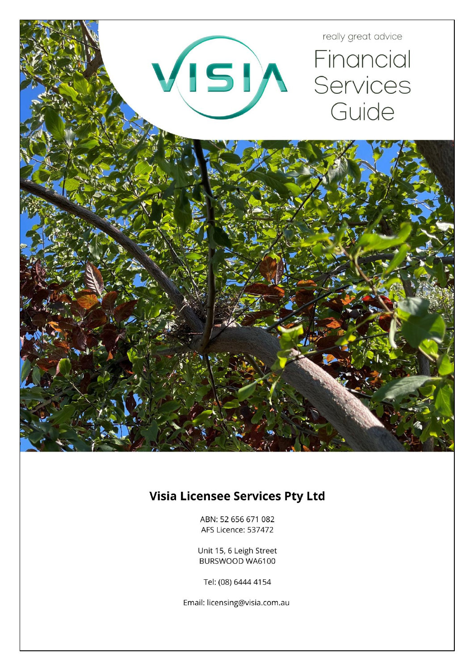

# **Visia Licensee Services Pty Ltd**

ABN: 52 656 671 082 AFS Licence: 537472

Unit 15, 6 Leigh Street BURSWOOD WA6100

Tel: (08) 6444 4154

Email: licensing@visia.com.au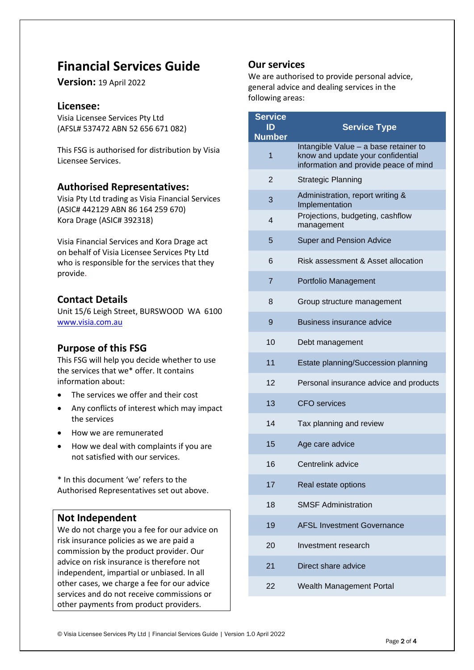# **Financial Services Guide**

**Version:** 19 April 2022

## **Licensee:**

Visia Licensee Services Pty Ltd (AFSL# 537472 ABN 52 656 671 082)

This FSG is authorised for distribution by Visia Licensee Services.

## **Authorised Representatives:**

Visia Pty Ltd trading as Visia Financial Services (ASIC# 442129 ABN 86 164 259 670) Kora Drage (ASIC# 392318)

Visia Financial Services and Kora Drage act on behalf of Visia Licensee Services Pty Ltd who is responsible for the services that they provide.

# **Contact Details**

Unit 15/6 Leigh Street, BURSWOOD WA 6100 [www.visia.com.au](http://www.visia.com.au/)

# **Purpose of this FSG**

This FSG will help you decide whether to use the services that we\* offer. It contains information about:

- The services we offer and their cost
- Any conflicts of interest which may impact the services
- How we are remunerated
- How we deal with complaints if you are not satisfied with our services.

\* In this document 'we' refers to the Authorised Representatives set out above.

## **Not Independent**

We do not charge you a fee for our advice on risk insurance policies as we are paid a commission by the product provider. Our advice on risk insurance is therefore not independent, impartial or unbiased. In all other cases, we charge a fee for our advice services and do not receive commissions or other payments from product providers.

## **Our services**

We are authorised to provide personal advice, general advice and dealing services in the following areas:

| <b>Service</b><br>ID<br><b>Number</b> | <b>Service Type</b>                                                                                                 |
|---------------------------------------|---------------------------------------------------------------------------------------------------------------------|
| 1                                     | Intangible Value - a base retainer to<br>know and update your confidential<br>information and provide peace of mind |
| $\overline{2}$                        | <b>Strategic Planning</b>                                                                                           |
| 3                                     | Administration, report writing &<br>Implementation                                                                  |
| $\overline{\mathcal{L}}$              | Projections, budgeting, cashflow<br>management                                                                      |
| 5                                     | <b>Super and Pension Advice</b>                                                                                     |
| 6                                     | Risk assessment & Asset allocation                                                                                  |
| $\overline{7}$                        | Portfolio Management                                                                                                |
| 8                                     | Group structure management                                                                                          |
| 9                                     | <b>Business insurance advice</b>                                                                                    |
| 10                                    | Debt management                                                                                                     |
| 11                                    | Estate planning/Succession planning                                                                                 |
| 12                                    | Personal insurance advice and products                                                                              |
| 13                                    | <b>CFO</b> services                                                                                                 |
| 14                                    | Tax planning and review                                                                                             |
| 15                                    | Age care advice                                                                                                     |
| 16                                    | Centrelink advice                                                                                                   |
| 17                                    | Real estate options                                                                                                 |
| 18                                    | <b>SMSF Administration</b>                                                                                          |
| 19                                    | <b>AFSL Investment Governance</b>                                                                                   |
| 20                                    | Investment research                                                                                                 |
| 21                                    | Direct share advice                                                                                                 |
| 22                                    | Wealth Management Portal                                                                                            |
|                                       |                                                                                                                     |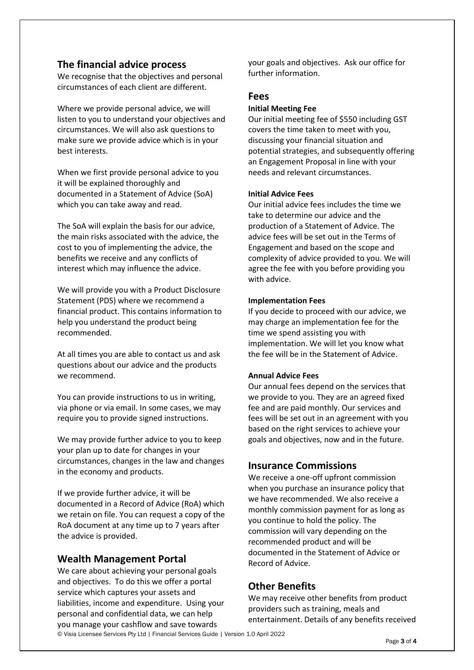## **The financial advice process**

We recognise that the objectives and personal circumstances of each client are different.

Where we provide personal advice, we will listen to you to understand your objectives and circumstances. We will also ask questions to make sure we provide advice which is in your best interests.

When we first provide personal advice to you it will be explained thoroughly and documented in a Statement of Advice (SoA) which you can take away and read.

The SoA will explain the basis for our advice, the main risks associated with the advice, the cost to you of implementing the advice, the benefits we receive and any conflicts of interest which may influence the advice.

We will provide you with a Product Disclosure Statement (PDS) where we recommend a financial product. This contains information to help you understand the product being recommended.

At all times you are able to contact us and ask questions about our advice and the products we recommend.

You can provide instructions to us in writing, via phone or via email. In some cases, we may require you to provide signed instructions.

We may provide further advice to you to keep your plan up to date for changes in your circumstances, changes in the law and changes in the economy and products.

If we provide further advice, it will be documented in a Record of Advice (RoA) which we retain on file. You can request a copy of the RoA document at any time up to 7 years after the advice is provided.

## **Wealth Management Portal**

We care about achieving your personal goals and objectives. To do this we offer a portal service which captures your assets and liabilities, income and expenditure. Using your personal and confidential data, we can help you manage your cashflow and save towards

your goals and objectives. Ask our office for further information.

### **Fees**

#### **Initial Meeting Fee**

Our initial meeting fee of \$550 including GST covers the time taken to meet with you, discussing your financial situation and potential strategies, and subsequently offering an Engagement Proposal in line with your needs and relevant circumstances.

### **Initial Advice Fees**

Our initial advice fees includes the time we take to determine our advice and the production of a Statement of Advice. The advice fees will be set out in the Terms of Engagement and based on the scope and complexity of advice provided to you. We will agree the fee with you before providing you with advice.

#### **Implementation Fees**

If you decide to proceed with our advice, we may charge an implementation fee for the time we spend assisting you with implementation. We will let you know what the fee will be in the Statement of Advice.

### **Annual Advice Fees**

Our annual fees depend on the services that we provide to you. They are an agreed fixed fee and are paid monthly. Our services and fees will be set out in an agreement with you based on the right services to achieve your goals and objectives, now and in the future.

## **Insurance Commissions**

We receive a one-off upfront commission when you purchase an insurance policy that we have recommended. We also receive a monthly commission payment for as long as you continue to hold the policy. The commission will vary depending on the recommended product and will be documented in the Statement of Advice or Record of Advice.

## **Other Benefits**

We may receive other benefits from product providers such as training, meals and entertainment. Details of any benefits received

© Visia Licensee Services Pty Ltd | Financial Services Guide | Version 1.0 April 2022